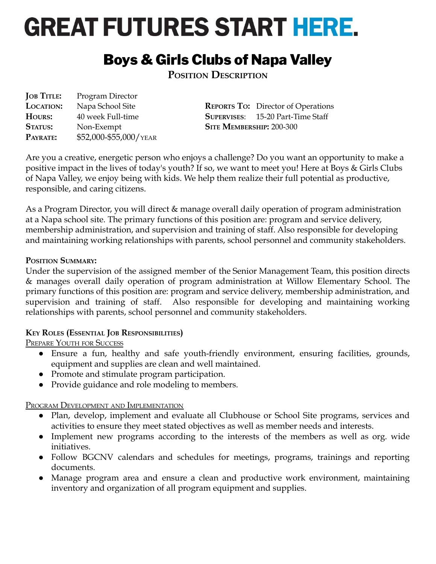# **GREAT FUTURES START HERE.**

# Boys & Girls Clubs of Napa Valley

**POSITION DESCRIPTION**

**JOB TITLE:** Program Director **LOCATION:** Napa School Site **REPORTS TO:** Director of Operations **HOURS:** 40 week Full-time **SUPERVISES**: 15-20 Part-Time Staff **STATUS:** Non-Exempt **SITE MEMBERSHIP:** 200-300 **PAYRATE:** \$52,000-\$55,000/YEAR

Are you a creative, energetic person who enjoys a challenge? Do you want an opportunity to make a positive impact in the lives of today's youth? If so, we want to meet you! Here at Boys & Girls Clubs of Napa Valley, we enjoy being with kids. We help them realize their full potential as productive, responsible, and caring citizens.

As a Program Director, you will direct & manage overall daily operation of program administration at a Napa school site. The primary functions of this position are: program and service delivery, membership administration, and supervision and training of staff. Also responsible for developing and maintaining working relationships with parents, school personnel and community stakeholders.

# **POSITION SUMMARY:**

Under the supervision of the assigned member of the Senior Management Team, this position directs & manages overall daily operation of program administration at Willow Elementary School. The primary functions of this position are: program and service delivery, membership administration, and supervision and training of staff. Also responsible for developing and maintaining working relationships with parents, school personnel and community stakeholders.

# **KEY ROLES (ESSENTIAL JOB RESPONSIBILITIES)**

PREPARE YOUTH FOR SUCCESS

- Ensure a fun, healthy and safe youth-friendly environment, ensuring facilities, grounds, equipment and supplies are clean and well maintained.
- Promote and stimulate program participation.
- Provide guidance and role modeling to members.

PROGRAM DEVELOPMENT AND IMPLEMENTATION

- Plan, develop, implement and evaluate all Clubhouse or School Site programs, services and activities to ensure they meet stated objectives as well as member needs and interests.
- Implement new programs according to the interests of the members as well as org. wide initiatives.
- Follow BGCNV calendars and schedules for meetings, programs, trainings and reporting documents.
- Manage program area and ensure a clean and productive work environment, maintaining inventory and organization of all program equipment and supplies.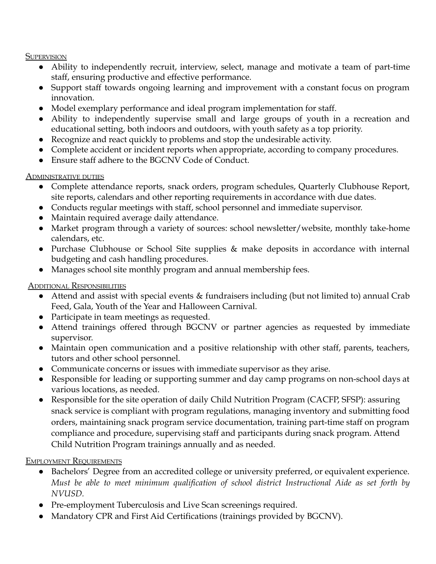#### **SUPERVISION**

- Ability to independently recruit, interview, select, manage and motivate a team of part-time staff, ensuring productive and effective performance.
- Support staff towards ongoing learning and improvement with a constant focus on program innovation.
- Model exemplary performance and ideal program implementation for staff.
- Ability to independently supervise small and large groups of youth in a recreation and educational setting, both indoors and outdoors, with youth safety as a top priority.
- Recognize and react quickly to problems and stop the undesirable activity.
- Complete accident or incident reports when appropriate, according to company procedures.
- Ensure staff adhere to the BGCNV Code of Conduct.

### ADMINISTRATIVE DUTIES

- Complete attendance reports, snack orders, program schedules, Quarterly Clubhouse Report, site reports, calendars and other reporting requirements in accordance with due dates.
- Conducts regular meetings with staff, school personnel and immediate supervisor.
- Maintain required average daily attendance.
- Market program through a variety of sources: school newsletter/website, monthly take-home calendars, etc.
- Purchase Clubhouse or School Site supplies & make deposits in accordance with internal budgeting and cash handling procedures.
- Manages school site monthly program and annual membership fees.

# ADDITIONAL RESPONSIBILITIES

- Attend and assist with special events & fundraisers including (but not limited to) annual Crab Feed, Gala, Youth of the Year and Halloween Carnival.
- Participate in team meetings as requested.
- Attend trainings offered through BGCNV or partner agencies as requested by immediate supervisor.
- Maintain open communication and a positive relationship with other staff, parents, teachers, tutors and other school personnel.
- Communicate concerns or issues with immediate supervisor as they arise.
- Responsible for leading or supporting summer and day camp programs on non-school days at various locations, as needed.
- Responsible for the site operation of daily Child Nutrition Program (CACFP, SFSP): assuring snack service is compliant with program regulations, managing inventory and submitting food orders, maintaining snack program service documentation, training part-time staff on program compliance and procedure, supervising staff and participants during snack program. Attend Child Nutrition Program trainings annually and as needed.

# EMPLOYMENT REQUIREMENTS

- Bachelors' Degree from an accredited college or university preferred, or equivalent experience. *Must be able to meet minimum qualification of school district Instructional Aide as set forth by NVUSD.*
- Pre-employment Tuberculosis and Live Scan screenings required.
- Mandatory CPR and First Aid Certifications (trainings provided by BGCNV).